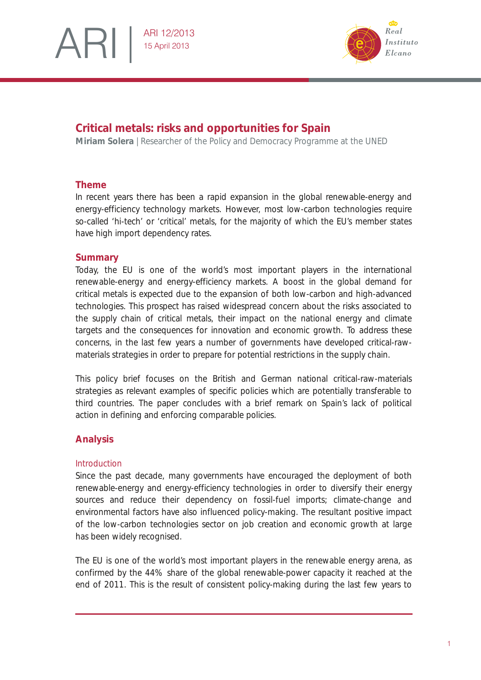



# **Critical metals: risks and opportunities for Spain**

**Miriam Solera** | Researcher of the Policy and Democracy Programme at the UNED

# **Theme**

In recent years there has been a rapid expansion in the global renewable-energy and energy-efficiency technology markets. However, most low-carbon technologies require so-called 'hi-tech' or 'critical' metals, for the majority of which the EU's member states have high import dependency rates.

# **Summary**

Today, the EU is one of the world's most important players in the international renewable-energy and energy-efficiency markets. A boost in the global demand for critical metals is expected due to the expansion of both low-carbon and high-advanced technologies. This prospect has raised widespread concern about the risks associated to the supply chain of critical metals, their impact on the national energy and climate targets and the consequences for innovation and economic growth. To address these concerns, in the last few years a number of governments have developed critical-rawmaterials strategies in order to prepare for potential restrictions in the supply chain.

This policy brief focuses on the British and German national critical-raw-materials strategies as relevant examples of specific policies which are potentially transferable to third countries. The paper concludes with a brief remark on Spain's lack of political action in defining and enforcing comparable policies.

# **Analysis**

### *Introduction*

Since the past decade, many governments have encouraged the deployment of both renewable-energy and energy-efficiency technologies in order to diversify their energy sources and reduce their dependency on fossil-fuel imports; climate-change and environmental factors have also influenced policy-making. The resultant positive impact of the lowcarbon technologies sector on job creation and economic growth at large has been widely recognised.

The EU is one of the world's most important players in the renewable energy arena, as confirmed by the 44% share of the global renewable-power capacity it reached at the end of 2011. This is the result of consistent policy-making during the last few years to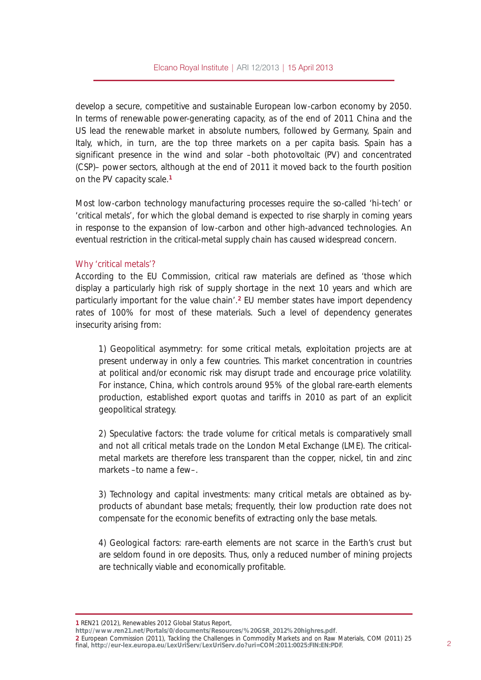develop a secure, competitive and sustainable European low-carbon economy by 2050. In terms of renewable power-generating capacity, as of the end of 2011 China and the US lead the renewable market in absolute numbers, followed by Germany, Spain and Italy, which, in turn, are the top three markets on a per capita basis. Spain has a significant presence in the wind and solar ‹ both photovoltaic (PV) and concentrated (CSP)‹ power sectors, although at the end of 2011 it moved back to the fourth position on the PV capacity scale.<sup>4</sup>

Most low-carbon technology manufacturing processes require the so-called  $\uparrow$ hi-tech $\downarrow$ or †critical metals‡, for which the global demand is expected to rise sharply in coming years in response to the expansion of low-carbon and other high-advanced technologies. An eventual restriction in the critical-metal supply chain has caused widespread concern.

#### Why tcritical metals<sup>†?</sup>

According to the EU Commission, critical raw materials are defined as †those which display a particularly high risk of supply shortage in the next 10 years and which are particularly important for the value chain $\ddagger$ <sup>5</sup> EU member states have import dependency rates of 100% for most of these materials. Such a level of dependency generates insecurity arising from:

1) Geopolitical asymmetry: for some critical metals, exploitation projects are at present underway in only a few countries. This market concentration in countries at political and/or economic risk may disrupt trade and encourage price volatility. For instance, China, which controls around 95% of the global rare-earth elements production, established export quotas and tariffs in 2010 as part of an explicit geopolitical strategy.

2) Speculative factors: the trade volume for critical metals is comparatively small and not all critical metals trade on the London Metal Exchange (LME). The criticalmetal markets are therefore less transparent than the copper, nickel, tin and zinc markets ‹ to name a few‹ .

3) Technology and capital investments: many critical metals are obtained as byproducts of abundant base metals; frequently, their low production rate does not compensate for the economic benefits of extracting only the base metals.

4) Geological factors: rare-earth elements are not scarce in the Earth ts crust but are seldom found in ore deposits. Thus, only a reduced number of mining projects are technically viable and economically profitable.

4 UHQ54 +5345,/ Uhqhz deohv 5345 J or edoVwdwxv Uhsr uw/

kwws=22z z z [1uhq541qhw2Sr](http://www.ren21.net/Portals/0/documents/Resources/%20GSR_2012%20highres.pdf) uwdov232gr f xp hqwv2Uhvr xuf hv2( 53J VUb5345( 53klj kuhv1sgi 1 5 European Commission (2011), Tackling the Challenges in Commodity Markets and on Raw Materials, COM (2011) 25  $\frac{1}{2}$  final, kwee isominically confirmed that  $\frac{1}{2}$  is  $\frac{1}{2}$  is  $\frac{1}{2}$  in  $\frac{1}{2}$  is  $\frac{1}{2}$  in  $\frac{1}{2}$  is  $\frac{1}{2}$  in  $\frac{1}{2}$  is  $\frac{1}{2}$  is  $\frac{1}{2}$  in  $\frac{1}{2}$  is  $\frac{1}{2}$  is  $\frac{1}{2}$  is  $\$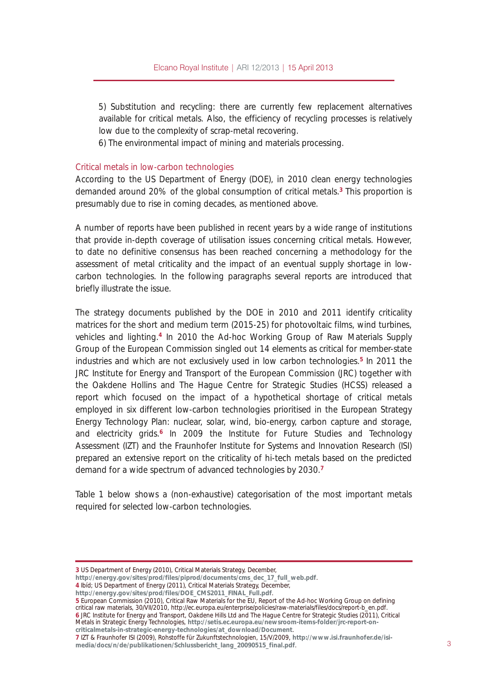5) Substitution and recycling: there are currently few replacement alternatives available for critical metals. Also, the efficiency of recycling processes is relatively low due to the complexity of scrap-metal recovering.

6) The environmental impact of mining and materials processing.

#### Fulw fdop hwdov la or z of duer a whife kar or i lhv

According to the US Department of Energy (DOE), in 2010 clean energy technologies demanded around 20% of the global consumption of critical metals.<sup>6</sup> This proportion is presumably due to rise in coming decades, as mentioned above.

A number of reports have been published in recent years by a wide range of institutions that provide in-depth coverage of utilisation issues concerning critical metals. However, to date no definitive consensus has been reached concerning a methodology for the assessment of metal criticality and the impact of an eventual supply shortage in lowcarbon technologies. In the following paragraphs several reports are introduced that briefly illustrate the issue.

The strategy documents published by the DOE in 2010 and 2011 identify criticality matrices for the short and medium term (2015-25) for photovoltaic films, wind turbines, vehicles and lighting.<sup>7</sup> In 2010 the Ad-hoc Working Group of Raw Materials Supply Group of the European Commission singled out 14 elements as critical for member-state industries and which are not exclusively used in low carbon technologies.<sup>8</sup> In 2011 the JRC Institute for Energy and Transport of the European Commission (JRC) together with the Oakdene Hollins and The Hague Centre for Strategic Studies (HCSS) released a report which focused on the impact of a hypothetical shortage of critical metals employed in six different low-carbon technologies prioritised in the European Strategy Energy Technology Plan: nuclear, solar, wind, bio-energy, carbon capture and storage, and electricity grids.<sup>9</sup> In 2009 the Institute for Future Studies and Technology Assessment (IZT) and the Fraunhofer Institute for Systems and Innovation Research (ISI) prepared an extensive report on the criticality of hi-tech metals based on the predicted demand for a wide spectrum of advanced technologies by 2030.

Table 1 below shows a (non-exhaustive) categorisation of the most important metals required for selected low-carbon technologies.

kwws=22hqhuj | 1j r y 2vlwhv 2sur g 2ildhv 2GR HbFP V5344bILQDObI xootsgi.

8 European Commission (2010), Critical Raw Materials for the EU, Report of the Ad-hoc Working Group on defining critical raw materials, 30/VII/2010, http://ec.europa.eu/enterprise/policies/raw-materials/files/docs/report-b\_en.pdf. 9 JRC Institute for Energy and Transport, Oakdene Hills Ltd and The Hague Centre for Strategic Studies (2011), Critical Metals in Strategic Energy Technologies, kwws=22/hwlv1hf 1hxur sd1hx2qhz vur r p 0whp v0ir oghu2nf 0uhsr uw0r q0

f ulwlfdop hwdov0q0vwudwhj lf 0hqhuj | 0whf kqr or j lhv2dwbgr z qor dg2Gr f xp hqw.

<sup>6</sup> USDepartment of Energy (2010), Fulwlf doP dwhuldov Vwudwhj |, December,

[kwws=22hqhuj](http://energy.gov/sites/prod/files/piprod/documents/cms_dec_17_full_web.pdf) | 1j r y2vlwhv2sur g2i lohv2slsur g2gr f xp hqwv2f p vbghf b4: bi xoobz he 1sgi.

<sup>7</sup> Ib¶d; USDepartment of Energy (2011), Critical Materials Strategy, December,

<sup>:</sup> IZT & Fraunhofer ISI (2009), Rohstoffe f½r Zukunftstechnologien, 15/V/2009, kwws=22z z z 1vl1udxqkr i hutgh2lvl0 p hgld2gr f v2q2gh2sxedndwr qhq2Vf koxvehulf kwbodqj b533<3848bi lqdolsgi . 6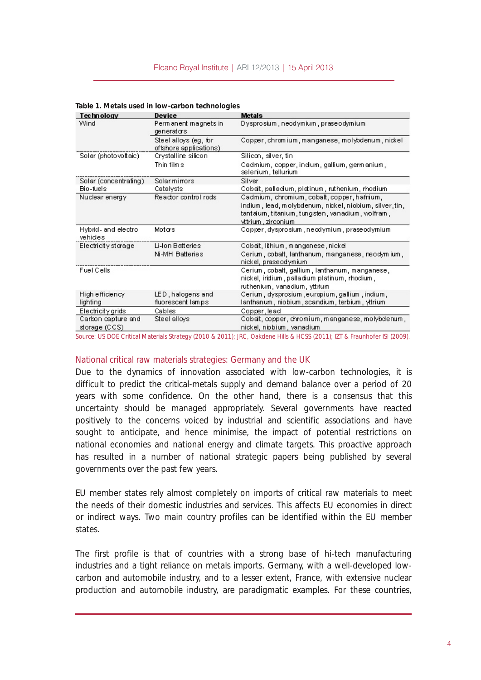| <b>Technology</b>              | Device                                          | <b>Metals</b>                                                             |
|--------------------------------|-------------------------------------------------|---------------------------------------------------------------------------|
| Wind                           | Permanent magnets in<br>denerators              | Dysprosium, neodymium, praseodymium                                       |
|                                | Steel alloys (eg, for<br>offshore applications) | Copper, chronium, manganese, molybdenum, nickel                           |
| Solar (photovoltaic)           | Crystalline silicon                             | Silicon, silver, tin                                                      |
|                                | Thin films                                      | Cadmium, copper, indium, gallium, germanium,<br>selenium, tellurium       |
| Solar (concentrating)          | Solarmirrors                                    | Silver                                                                    |
| Bio-fuels                      | Catalysts                                       | Cobalt, palladium, platinum, ruthenium, rhodium                           |
| Nuclear energy                 | Reactor control rods                            | Cadmium, chromium, cobalt, copper, hafrium,                               |
|                                |                                                 | indium, lead, molybdenum, nickel, niobium, silver, tin,                   |
|                                |                                                 | tantalum, titanium, tungsten, vanadium, wolfram,                          |
|                                |                                                 | yttrium, zirconium                                                        |
| Hybrid- and electro<br>vehides | Motors                                          | Copper, dysprosium, neodymium, praseodymium                               |
| Electricity storage            | Li-Ion Batteries                                | Cobalt, lithium, manganese, nickel                                        |
|                                | Ni-MH Batteries                                 | Cerium , cobalt, lanthanum, manganese, neodymium,<br>nickel, praseodymium |
| Fuel Cells                     |                                                 | Cerium, cobalt, gallium, lanthanum, manganese,                            |
|                                |                                                 | nickel, iridium , palladium platinum, rhodium ,                           |
|                                |                                                 | ruthenium, vanadium, yttrium                                              |
| High efficiency                | LED, halogens and                               | Cerium, dysprosium, europium, gallium, indium,                            |
| lighting                       | fluorescent lamps                               | lanthanum, niobium, scandium, terbium, yttrium                            |
| Electricity grids              | Cables                                          | Copper, lead                                                              |
| Carbon capture and             | Steel alloys                                    | Cobalt, copper, chromium, manganese, molybdenum,                          |
| storage (CCS)                  |                                                 | nickel, niobium , vanadium                                                |

#### **Table 1. Metals used in low-carbon technologies**

Source: US DOE Critical Materials Strategy (2010 & 2011); JRC, Oakdene Hills & HCSS (2011); IZT & Fraunhofer ISI (2009).

#### *National critical raw materials strategies: Germany and the UK*

Due to the dynamics of innovation associated with low-carbon technologies, it is difficult to predict the critical-metals supply and demand balance over a period of 20 years with some confidence. On the other hand, there is a consensus that this uncertainty should be managed appropriately. Several governments have reacted positively to the concerns voiced by industrial and scientific associations and have sought to anticipate, and hence minimise, the impact of potential restrictions on national economies and national energy and climate targets. This proactive approach has resulted in a number of national strategic papers being published by several governments over the past few years.

EU member states rely almost completely on imports of critical raw materials to meet the needs of their domestic industries and services. This affects EU economies in direct or indirect ways. Two main country profiles can be identified within the EU member states.

The first profile is that of countries with a strong base of hi-tech manufacturing industries and a tight reliance on metals imports. Germany, with a well-developed lowcarbon and automobile industry, and to a lesser extent, France, with extensive nuclear production and automobile industry, are paradigmatic examples. For these countries,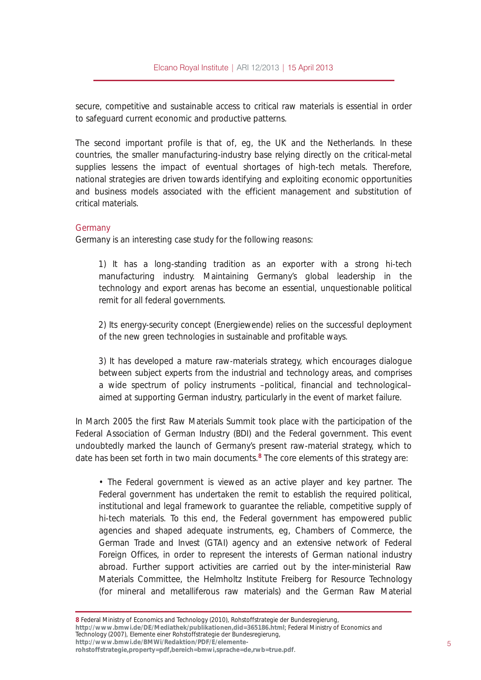secure, competitive and sustainable access to critical raw materials is essential in order to safeguard current economic and productive patterns.

The second important profile is that of, eg, the UK and the Netherlands. In these countries, the smaller manufacturing-industry base relying directly on the critical-metal supplies lessens the impact of eventual shortages of high-tech metals. Therefore, national strategies are driven towards identifying and exploiting economic opportunities and business models associated with the efficient management and substitution of critical materials.

### J hup dq|

Germany is an interesting case study for the following reasons:

1) It has a long-standing tradition as an exporter with a strong hi-tech manufacturing industry. Maintaining Germany is alobal leadership in the technology and export arenas has become an essential, unquestionable political remit for all federal governments.

2) Its energy-security concept (Energiewende) relies on the successful deployment of the new green technologies in sustainable and profitable ways.

3) It has developed a mature raw-materials strategy, which encourages dialogue between subject experts from the industrial and technology areas, and comprises a wide spectrum of policy instruments ‹ political, financial and technological‹ aimed at supporting German industry, particularly in the event of market failure.

In March 2005 the first Raw Materials Summit took place with the participation of the Federal Association of German Industry (BDI) and the Federal government. This event undoubtedly marked the launch of Germany present raw-material strategy, which to date has been set forth in two main documents.<sup>;</sup> The core elements of this strategy are:

Š The Federal government is viewed as an active player and key partner. The Federal government has undertaken the remit to establish the required political, institutional and legal framework to guarantee the reliable, competitive supply of hi-tech materials. To this end, the Federal government has empowered public agencies and shaped adequate instruments, eg, Chambers of Commerce, the German Trade and Invest (GTAI) agency and an extensive network of Federal Foreign Offices, in order to represent the interests of German national industry abroad. Further support activities are carried out by the inter-ministerial Raw Materials Committee, the Helmholtz Institute Freiberg for Resource Technology (for mineral and metalliferous raw materials) and the German Raw Material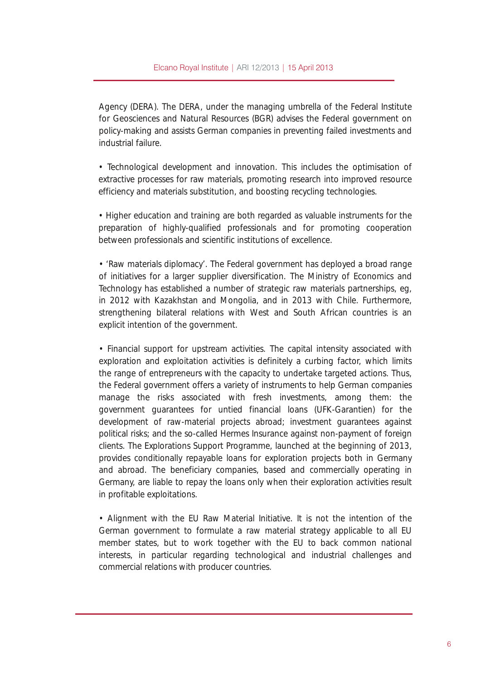### Elcano Royal Institute | ARI 12/2013 | 15 April 2013

Agency (DERA). The DERA, under the managing umbrella of the Federal Institute for Geosciences and Natural Resources (BGR) advises the Federal government on policymaking and assists German companies in preventing failed investments and industrial failure.

• Technological development and innovation. This includes the optimisation of extractive processes for raw materials, promoting research into improved resource efficiency and materials substitution, and boosting recycling technologies.

• Higher education and training are both regarded as valuable instruments for the preparation of highly-qualified professionals and for promoting cooperation between professionals and scientific institutions of excellence.

• 'Raw materials diplomacy'. The Federal government has deployed a broad range of initiatives for a larger supplier diversification. The Ministry of Economics and Technology has established a number of strategic raw materials partnerships, eg, in 2012 with Kazakhstan and Mongolia, and in 2013 with Chile. Furthermore, strengthening bilateral relations with West and South African countries is an explicit intention of the government.

• Financial support for upstream activities. The capital intensity associated with exploration and exploitation activities is definitely a curbing factor, which limits the range of entrepreneurs with the capacity to undertake targeted actions. Thus, the Federal government offers a variety of instruments to help German companies manage the risks associated with fresh investments, among them: the government guarantees for untied financial loans (UFK-Garantien) for the development of raw-material projects abroad; investment guarantees against political risks; and the so-called Hermes Insurance against non-payment of foreign clients. The Explorations Support Programme, launched at the beginning of 2013, provides conditionally repayable loans for exploration projects both in Germany and abroad. The beneficiary companies, based and commercially operating in Germany, are liable to repay the loans only when their exploration activities result in profitable exploitations.

• Alignment with the EU Raw Material Initiative. It is not the intention of the German government to formulate a raw material strategy applicable to all EU member states, but to work together with the EU to back common national interests, in particular regarding technological and industrial challenges and commercial relations with producer countries.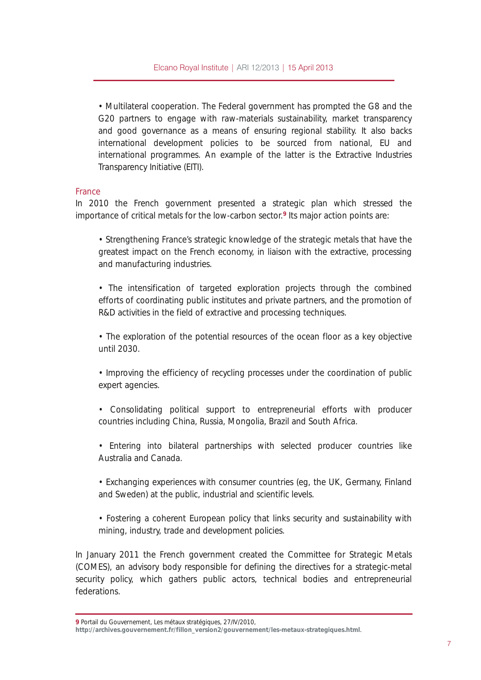Š Multilateral cooperation. The Federal government has prompted the G8 and the G20 partners to engage with raw-materials sustainability, market transparency and good governance as a means of ensuring regional stability. It also backs international development policies to be sourced from national, EU and international programmes. An example of the latter is the Extractive Industries Transparency Initiative (EIT).

### I udqf h

In 2010 the French government presented a strategic plan which stressed the importance of critical metals for the low-carbon sector. < Its major action points are:

ŠStrengthening France‡s strategic knowledge of the strategic metals that have the greatest impact on the French economy, in liaison with the extractive, processing and manufacturing industries.

Š The intensification of targeted exploration projects through the combined efforts of coordinating public institutes and private partners, and the promotion of R&D activities in the field of extractive and processing techniques.

Š The exploration of the potential resources of the ocean floor as a key objective until 2030.

Š Improving the efficiency of recycling processes under the coordination of public expert agencies.

Š Consolidating political support to entrepreneurial efforts with producer countries including China, Russia, Mongolia, Brazil and South Africa.

Š Entering into bilateral partnerships with selected producer countries like Australia and Canada.

ŠExchanging experiences with consumer countries (eg, the UK, Germany, Finland and Sweden) at the public, industrial and scientific levels.

Š Fostering a coherent European policy that links security and sustainability with mining, industry, trade and development policies.

In January 2011 the French government created the Committee for Strategic Metals (COMES), an advisory body responsible for defining the directives for a strategic-metal security policy, which gathers public actors, technical bodies and entrepreneurial federations.

< Portail du Gouvernement, Les m´ taux strat´ giques, 27/IV/2010,

[kwws=22duf](http://archives.gouvernement.fr/fillon_version2/gouvernement/les-metaux-strategiques.html) klyhv1j r xyhuqhp hqw1i u2i loor qbyhuvlr q52j r xyhuqhp hqw2uhv0p hwdx{ 0vwudwhj lt xhv1kwp o.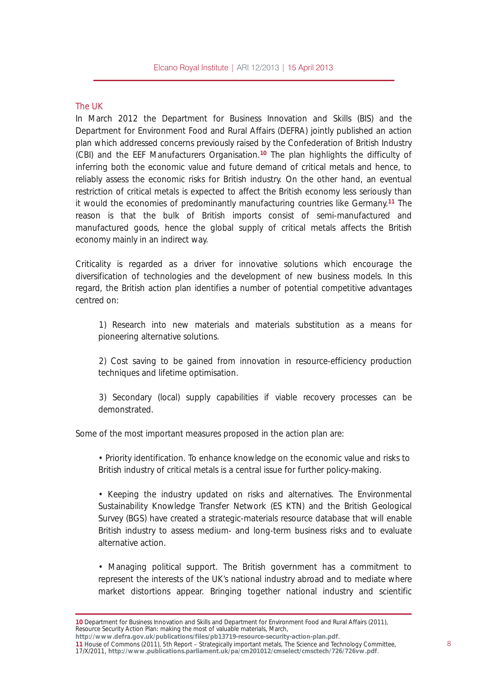### The UK

In March 2012 the Department for Business Innovation and Skills (BIS) and the Department for Environment Food and Rural Affairs (DEFRA) jointly published an action plan which addressed concerns previously raised by the Confederation of British Industry (CBI) and the EEF Manufacturers Organisation.<sup>43</sup> The plan highlights the difficulty of inferring both the economic value and future demand of critical metals and hence, to reliably assess the economic risks for British industry. On the other hand, an eventual restriction of critical metals is expected to affect the British economy less seriously than it would the economies of predominantly manufacturing countries like Germany.<sup>44</sup> The reason is that the bulk of British imports consist of semi-manufactured and manufactured goods, hence the global supply of critical metals affects the British economy mainly in an indirect way.

Criticality is regarded as a driver for innovative solutions which encourage the diversification of technologies and the development of new business models. In this regard, the British action plan identifies a number of potential competitive advantages centred on:

1) Research into new materials and materials substitution as a means for pioneering alternative solutions.

2) Cost saving to be gained from innovation in resource-efficiency production techniques and lifetime optimisation.

3) Secondary (local) supply capabilities if viable recovery processes can be demonstrated.

Some of the most important measures proposed in the action plan are:

ŠPriority identification. To enhance knowledge on the economic value and risks to British industry of critical metals is a central issue for further policy-making.

Š Keeping the industry updated on risks and alternatives. The Environmental Sustainability Knowledge Transfer Network (ES KTN) and the British Geological Survey (BGS) have created a strategic-materials resource database that will enable British industry to assess medium- and long-term business risks and to evaluate alternative action.

Š Managing political support. The British government has a commitment to represent the interests of the UK $\sharp$  national industry abroad and to mediate where market distortions appear. Bringing together national industry and scientific

 $17$ /X/2011, kws= $22z$  z  $z$  1sxedf dwlr qv1sduddp [hqw1xn2sd2f](http://www.publications.parliament.uk/pa/cm201012/cmselect/cmsctech/726/726vw.pdf) p 5343452f p vhdnf w2f p vf whf k 2: 592: 59yz 1sqi .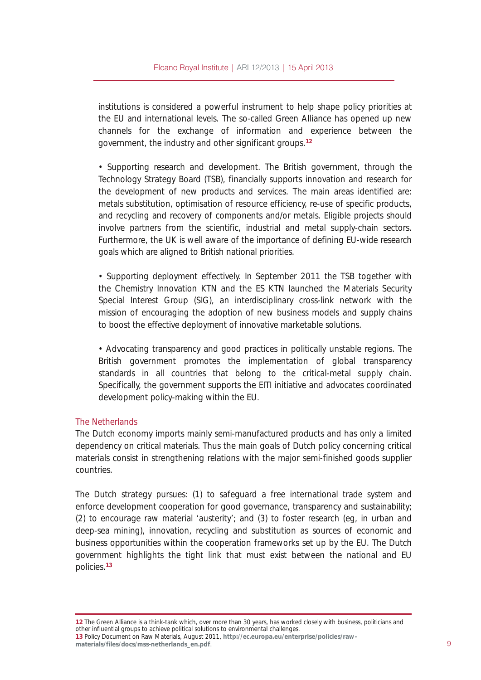institutions is considered a powerful instrument to help shape policy priorities at the EU and international levels. The so-called Green Alliance has opened up new channels for the exchange of information and experience between the government, the industry and other significant groups.<sup>45</sup>

Š Supporting research and development. The British government, through the Technology Strategy Board (TSB), financially supports innovation and research for the development of new products and services. The main areas identified are: metals substitution, optimisation of resource efficiency, re-use of specific products, and recycling and recovery of components and/or metals. Eligible projects should involve partners from the scientific, industrial and metal supply-chain sectors. Furthermore, the UK is well aware of the importance of defining EU-wide research goals which are aligned to British national priorities.

Š Supporting deployment effectively. In September 2011 the TSB together with the Chemistry Innovation KTN and the ES KTN launched the Materials Security Special Interest Group (SIG), an interdisciplinary cross-link network with the mission of encouraging the adoption of new business models and supply chains to boost the effective deployment of innovative marketable solutions.

Š Advocating transparency and good practices in politically unstable regions. The British government promotes the implementation of global transparency standards in all countries that belong to the critical-metal supply chain. Specifically, the government supports the EITI initiative and advocates coordinated development policy-making within the EU.

#### With Qhwkhuodqqv

The Dutch economy imports mainly semi-manufactured products and has only a limited dependency on critical materials. Thus the main goals of Dutch policy concerning critical materials consist in strengthening relations with the major semi-finished goods supplier countries.

The Dutch strategy pursues: (1) to safeguard a free international trade system and enforce development cooperation for good governance, transparency and sustainability; (2) to encourage raw material  $\frac{1}{k}$  and (3) to foster research (eg, in urban and deep-sea mining), innovation, recycling and substitution as sources of economic and business opportunities within the cooperation frameworks set up by the EU. The Dutch government highlights the tight link that must exist between the national and EU policies. 46

45 The Green Alliance is a think-tank which, over more than 30 years, has worked closely with business, politicians and other influential groups to achieve political solutions to environmental challenges. 46 Policy Document on Raw Materials, August 2011, kws=2hf 1hxur [sd1hx2hqwhusulvh2sr](http://ec.europa.eu/enterprise/policies/raw-materials/files/docs/mss-netherlands_en.pdf) of lhv2udz 0 p dwhuldov2i lohv2gr f v2p [vv0qhwkhuodqgvbhq1sgi](http://ec.europa.eu/enterprise/policies/raw-materials/files/docs/mss-netherlands_en.pdf) .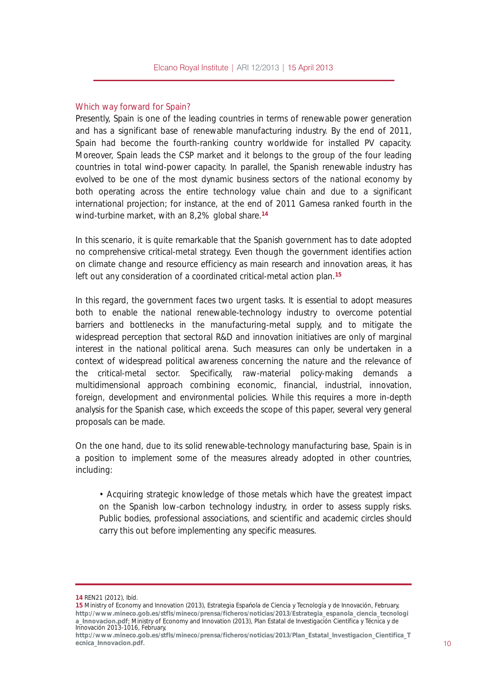#### Which way forward for Spain?

Presently, Spain is one of the leading countries in terms of renewable power generation and has a significant base of renewable manufacturing industry. By the end of 2011, Spain had become the fourth-ranking country worldwide for installed PV capacity. Moreover, Spain leads the CSP market and it belongs to the group of the four leading countries in total wind-power capacity. In parallel, the Spanish renewable industry has evolved to be one of the most dynamic business sectors of the national economy by both operating across the entire technology value chain and due to a significant international projection; for instance, at the end of 2011 Gamesa ranked fourth in the wind-turbine market, with an 8,2% global share.<sup>47</sup>

In this scenario, it is quite remarkable that the Spanish government has to date adopted no comprehensive critical-metal strategy. Even though the government identifies action on climate change and resource efficiency as main research and innovation areas, it has left out any consideration of a coordinated critical-metal action plan.<sup>48</sup>

In this regard, the government faces two urgent tasks. It is essential to adopt measures both to enable the national renewable-technology industry to overcome potential barriers and bottlenecks in the manufacturing-metal supply, and to mitigate the widespread perception that sectoral R&D and innovation initiatives are only of marginal interest in the national political arena. Such measures can only be undertaken in a context of widespread political awareness concerning the nature and the relevance of the critical-metal sector. Specifically, raw-material policy-making demands a multidimensional approach combining economic, financial, industrial, innovation, foreign, development and environmental policies. While this requires a more in-depth analysis for the Spanish case, which exceeds the scope of this paper, several very general proposals can be made.

On the one hand, due to its solid renewable-technology manufacturing base, Spain is in a position to implement some of the measures already adopted in other countries, including:

Š Acquiring strategic knowledge of those metals which have the greatest impact on the Spanish low-carbon technology industry, in order to assess supply risks. Public bodies, professional associations, and scientific and academic circles should carry this out before implementing any specific measures.

47 REN21 (2012), Ib¶d.

<sup>48</sup> Ministry of Economy and Innovation (2013), Estrategia EspaFola de Ciencia y Tecnolog¶a y de Innovaci¸ n, February, kwws=22z z z p lqhfr 1j r e 1hv2vwi ov2p lqhfr 2suhqvd2i lf khur v2qr wlf [ldv253462Hvwudwhj](http://www.mineco.gob.es/stfls/mineco/prensa/ficheros/noticias/2013/Estrategia_espanola_ciencia_tecnologia_Innovacion.pdf) ldbhvsdqr odbf lhqf ldbwhf qr or j l dblqqr ydf lr q s gi; Ministry of Economy and Innovation (2013), Plan Estatal de Investigaci, n Cient¶ica y T cnica y de Innovaci¸ n 2013-1016, February,

kwws=22z z z b lqhfr 1 r e1hv2vwi ov2p lqhfr 2suhqvd2i lf khur v2qr wlf [ldv253462SodqbHvwdwdobLqyhvwlj](http://www.mineco.gob.es/stfls/mineco/prensa/ficheros/noticias/2013/Plan_Estatal_Investigacion_Cientifica_Tecnica_Innovacion.pdf) df lr qbFlhqwli lf dbW hf qlf dblqqr ydf lr q1sgi . 43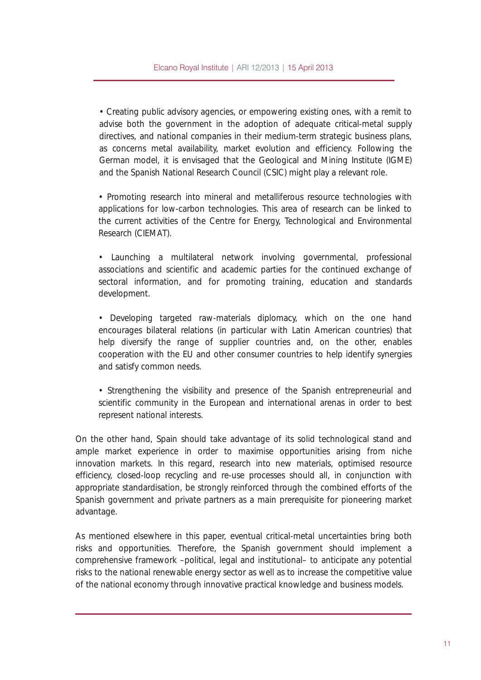• Creating public advisory agencies, or empowering existing ones, with a remit to advise both the government in the adoption of adequate critical-metal supply directives, and national companies in their medium-term strategic business plans, as concerns metal availability, market evolution and efficiency. Following the German model, it is envisaged that the Geological and Mining Institute (IGME) and the Spanish National Research Council (CSIC) might play a relevant role.

• Promoting research into mineral and metalliferous resource technologies with applications for low-carbon technologies. This area of research can be linked to the current activities of the Centre for Energy, Technological and Environmental Research (CIEMAT).

• Launching a multilateral network involving governmental, professional associations and scientific and academic parties for the continued exchange of sectoral information, and for promoting training, education and standards development.

• Developing targeted raw-materials diplomacy, which on the one hand encourages bilateral relations (in particular with Latin American countries) that help diversify the range of supplier countries and, on the other, enables cooperation with the EU and other consumer countries to help identify synergies and satisfy common needs.

• Strengthening the visibility and presence of the Spanish entrepreneurial and scientific community in the European and international arenas in order to best represent national interests.

On the other hand, Spain should take advantage of its solid technological stand and ample market experience in order to maximise opportunities arising from niche innovation markets. In this regard, research into new materials, optimised resource efficiency, closed-loop recycling and re-use processes should all, in conjunction with appropriate standardisation, be strongly reinforced through the combined efforts of the Spanish government and private partners as a main prerequisite for pioneering market advantage.

As mentioned elsewhere in this paper, eventual critical-metal uncertainties bring both risks and opportunities. Therefore, the Spanish government should implement a comprehensive framework –political, legal and institutional– to anticipate any potential risks to the national renewable energy sector as well as to increase the competitive value of the national economy through innovative practical knowledge and business models.